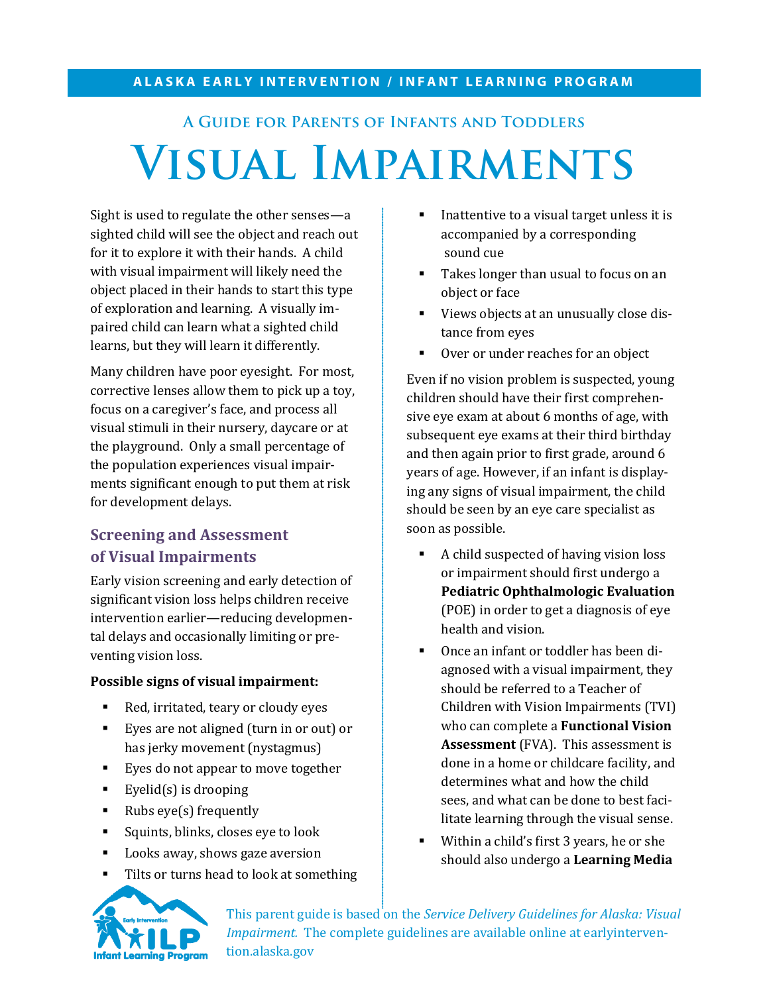#### **ALASKA EARLY INTERVENTION / INFANT LEARNING PROGRAM**

# **A Guide for Parents of Infants and Toddlers Visual Impairments**

Sight is used to regulate the other senses—a sighted child will see the object and reach out for it to explore it with their hands. A child with visual impairment will likely need the object placed in their hands to start this type of exploration and learning. A visually impaired child can learn what a sighted child learns, but they will learn it differently.

Many children have poor eyesight. For most, corrective lenses allow them to pick up a toy, focus on a caregiver's face, and process all visual stimuli in their nursery, daycare or at the playground. Only a small percentage of the population experiences visual impairments significant enough to put them at risk for development delays.

#### **Screening and Assessment of Visual Impairments**

Early vision screening and early detection of significant vision loss helps children receive intervention earlier—reducing developmental delays and occasionally limiting or preventing vision loss.

#### **Possible signs of visual impairment:**

- Red, irritated, teary or cloudy eyes
- Eyes are not aligned (turn in or out) or has jerky movement (nystagmus)
- Eyes do not appear to move together
- Eyelid(s) is drooping
- Rubs eye(s) frequently
- **Squints, blinks, closes eye to look**
- **Looks away, shows gaze aversion**
- Tilts or turns head to look at something
- Inattentive to a visual target unless it is accompanied by a corresponding sound cue
- Takes longer than usual to focus on an object or face
- Views objects at an unusually close distance from eyes
- Over or under reaches for an object

Even if no vision problem is suspected, young children should have their first comprehensive eye exam at about 6 months of age, with subsequent eye exams at their third birthday and then again prior to first grade, around 6 years of age. However, if an infant is displaying any signs of visual impairment, the child should be seen by an eye care specialist as soon as possible.

- A child suspected of having vision loss or impairment should first undergo a **Pediatric Ophthalmologic Evaluation**  (POE) in order to get a diagnosis of eye health and vision.
- Once an infant or toddler has been diagnosed with a visual impairment, they should be referred to a Teacher of Children with Vision Impairments (TVI) who can complete a **Functional Vision Assessment** (FVA). This assessment is done in a home or childcare facility, and determines what and how the child sees, and what can be done to best facilitate learning through the visual sense.
- Within a child's first 3 years, he or she should also undergo a **Learning Media**



This parent guide is based on the *Service Delivery Guidelines for Alaska: Visual Impairment.* The complete guidelines are available online at earlyintervention.alaska.gov